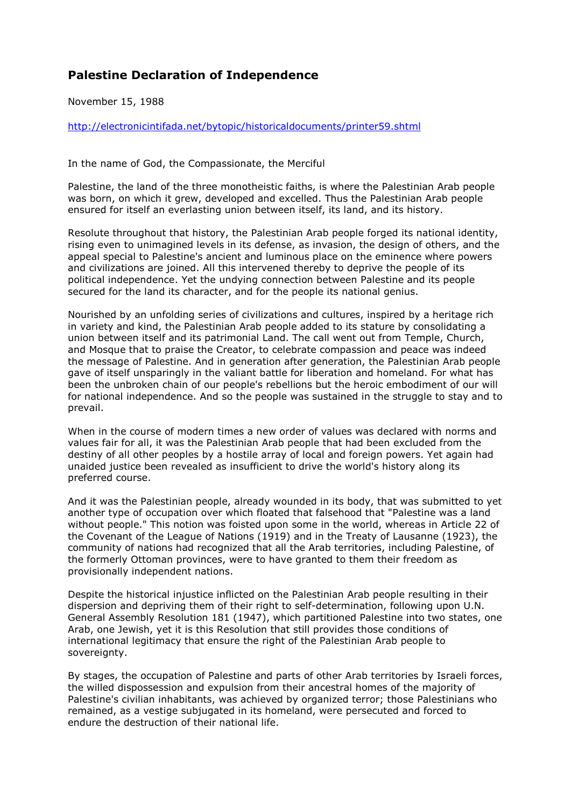## **Palestine Declaration of Independence**

November 15, 1988

http://electronicintifada.net/bytopic/historicaldocuments/printer59.shtml

In the name of God, the Compassionate, the Merciful

Palestine, the land of the three monotheistic faiths, is where the Palestinian Arab people was born, on which it grew, developed and excelled. Thus the Palestinian Arab people ensured for itself an everlasting union between itself, its land, and its history.

Resolute throughout that history, the Palestinian Arab people forged its national identity, rising even to unimagined levels in its defense, as invasion, the design of others, and the appeal special to Palestine's ancient and luminous place on the eminence where powers and civilizations are joined. All this intervened thereby to deprive the people of its political independence. Yet the undying connection between Palestine and its people secured for the land its character, and for the people its national genius.

Nourished by an unfolding series of civilizations and cultures, inspired by a heritage rich in variety and kind, the Palestinian Arab people added to its stature by consolidating a union between itself and its patrimonial Land. The call went out from Temple, Church, and Mosque that to praise the Creator, to celebrate compassion and peace was indeed the message of Palestine. And in generation after generation, the Palestinian Arab people gave of itself unsparingly in the valiant battle for liberation and homeland. For what has been the unbroken chain of our people's rebellions but the heroic embodiment of our will for national independence. And so the people was sustained in the struggle to stay and to prevail.

When in the course of modern times a new order of values was declared with norms and values fair for all, it was the Palestinian Arab people that had been excluded from the destiny of all other peoples by a hostile array of local and foreign powers. Yet again had unaided justice been revealed as insufficient to drive the world's history along its preferred course.

And it was the Palestinian people, already wounded in its body, that was submitted to yet another type of occupation over which floated that falsehood that "Palestine was a land without people." This notion was foisted upon some in the world, whereas in Article 22 of the Covenant of the League of Nations (1919) and in the Treaty of Lausanne (1923), the community of nations had recognized that all the Arab territories, including Palestine, of the formerly Ottoman provinces, were to have granted to them their freedom as provisionally independent nations.

Despite the historical injustice inflicted on the Palestinian Arab people resulting in their dispersion and depriving them of their right to self-determination, following upon U.N. General Assembly Resolution 181 (1947), which partitioned Palestine into two states, one Arab, one Jewish, yet it is this Resolution that still provides those conditions of international legitimacy that ensure the right of the Palestinian Arab people to sovereignty.

By stages, the occupation of Palestine and parts of other Arab territories by Israeli forces, the willed dispossession and expulsion from their ancestral homes of the majority of Palestine's civilian inhabitants, was achieved by organized terror; those Palestinians who remained, as a vestige subjugated in its homeland, were persecuted and forced to endure the destruction of their national life.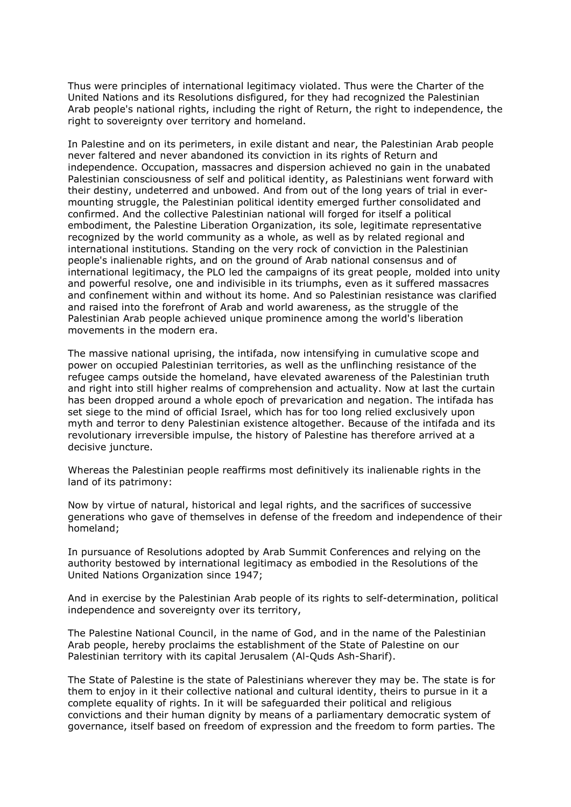Thus were principles of international legitimacy violated. Thus were the Charter of the United Nations and its Resolutions disfigured, for they had recognized the Palestinian Arab people's national rights, including the right of Return, the right to independence, the right to sovereignty over territory and homeland.

In Palestine and on its perimeters, in exile distant and near, the Palestinian Arab people never faltered and never abandoned its conviction in its rights of Return and independence. Occupation, massacres and dispersion achieved no gain in the unabated Palestinian consciousness of self and political identity, as Palestinians went forward with their destiny, undeterred and unbowed. And from out of the long years of trial in evermounting struggle, the Palestinian political identity emerged further consolidated and confirmed. And the collective Palestinian national will forged for itself a political embodiment, the Palestine Liberation Organization, its sole, legitimate representative recognized by the world community as a whole, as well as by related regional and international institutions. Standing on the very rock of conviction in the Palestinian people's inalienable rights, and on the ground of Arab national consensus and of international legitimacy, the PLO led the campaigns of its great people, molded into unity and powerful resolve, one and indivisible in its triumphs, even as it suffered massacres and confinement within and without its home. And so Palestinian resistance was clarified and raised into the forefront of Arab and world awareness, as the struggle of the Palestinian Arab people achieved unique prominence among the world's liberation movements in the modern era.

The massive national uprising, the intifada, now intensifying in cumulative scope and power on occupied Palestinian territories, as well as the unflinching resistance of the refugee camps outside the homeland, have elevated awareness of the Palestinian truth and right into still higher realms of comprehension and actuality. Now at last the curtain has been dropped around a whole epoch of prevarication and negation. The intifada has set siege to the mind of official Israel, which has for too long relied exclusively upon myth and terror to deny Palestinian existence altogether. Because of the intifada and its revolutionary irreversible impulse, the history of Palestine has therefore arrived at a decisive juncture.

Whereas the Palestinian people reaffirms most definitively its inalienable rights in the land of its patrimony:

Now by virtue of natural, historical and legal rights, and the sacrifices of successive generations who gave of themselves in defense of the freedom and independence of their homeland;

In pursuance of Resolutions adopted by Arab Summit Conferences and relying on the authority bestowed by international legitimacy as embodied in the Resolutions of the United Nations Organization since 1947;

And in exercise by the Palestinian Arab people of its rights to self-determination, political independence and sovereignty over its territory,

The Palestine National Council, in the name of God, and in the name of the Palestinian Arab people, hereby proclaims the establishment of the State of Palestine on our Palestinian territory with its capital Jerusalem (Al-Quds Ash-Sharif).

The State of Palestine is the state of Palestinians wherever they may be. The state is for them to enjoy in it their collective national and cultural identity, theirs to pursue in it a complete equality of rights. In it will be safeguarded their political and religious convictions and their human dignity by means of a parliamentary democratic system of governance, itself based on freedom of expression and the freedom to form parties. The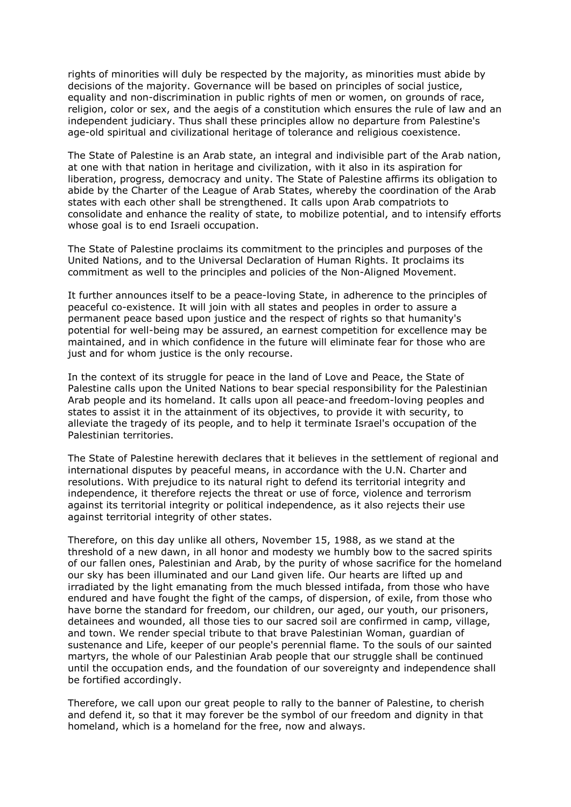rights of minorities will duly be respected by the majority, as minorities must abide by decisions of the majority. Governance will be based on principles of social justice, equality and non-discrimination in public rights of men or women, on grounds of race, religion, color or sex, and the aegis of a constitution which ensures the rule of law and an independent judiciary. Thus shall these principles allow no departure from Palestine's age-old spiritual and civilizational heritage of tolerance and religious coexistence.

The State of Palestine is an Arab state, an integral and indivisible part of the Arab nation, at one with that nation in heritage and civilization, with it also in its aspiration for liberation, progress, democracy and unity. The State of Palestine affirms its obligation to abide by the Charter of the League of Arab States, whereby the coordination of the Arab states with each other shall be strengthened. It calls upon Arab compatriots to consolidate and enhance the reality of state, to mobilize potential, and to intensify efforts whose goal is to end Israeli occupation.

The State of Palestine proclaims its commitment to the principles and purposes of the United Nations, and to the Universal Declaration of Human Rights. It proclaims its commitment as well to the principles and policies of the Non-Aligned Movement.

It further announces itself to be a peace-loving State, in adherence to the principles of peaceful co-existence. It will join with all states and peoples in order to assure a permanent peace based upon justice and the respect of rights so that humanity's potential for well-being may be assured, an earnest competition for excellence may be maintained, and in which confidence in the future will eliminate fear for those who are just and for whom justice is the only recourse.

In the context of its struggle for peace in the land of Love and Peace, the State of Palestine calls upon the United Nations to bear special responsibility for the Palestinian Arab people and its homeland. It calls upon all peace-and freedom-loving peoples and states to assist it in the attainment of its objectives, to provide it with security, to alleviate the tragedy of its people, and to help it terminate Israel's occupation of the Palestinian territories.

The State of Palestine herewith declares that it believes in the settlement of regional and international disputes by peaceful means, in accordance with the U.N. Charter and resolutions. With prejudice to its natural right to defend its territorial integrity and independence, it therefore rejects the threat or use of force, violence and terrorism against its territorial integrity or political independence, as it also rejects their use against territorial integrity of other states.

Therefore, on this day unlike all others, November 15, 1988, as we stand at the threshold of a new dawn, in all honor and modesty we humbly bow to the sacred spirits of our fallen ones, Palestinian and Arab, by the purity of whose sacrifice for the homeland our sky has been illuminated and our Land given life. Our hearts are lifted up and irradiated by the light emanating from the much blessed intifada, from those who have endured and have fought the fight of the camps, of dispersion, of exile, from those who have borne the standard for freedom, our children, our aged, our youth, our prisoners, detainees and wounded, all those ties to our sacred soil are confirmed in camp, village, and town. We render special tribute to that brave Palestinian Woman, guardian of sustenance and Life, keeper of our people's perennial flame. To the souls of our sainted martyrs, the whole of our Palestinian Arab people that our struggle shall be continued until the occupation ends, and the foundation of our sovereignty and independence shall be fortified accordingly.

Therefore, we call upon our great people to rally to the banner of Palestine, to cherish and defend it, so that it may forever be the symbol of our freedom and dignity in that homeland, which is a homeland for the free, now and always.